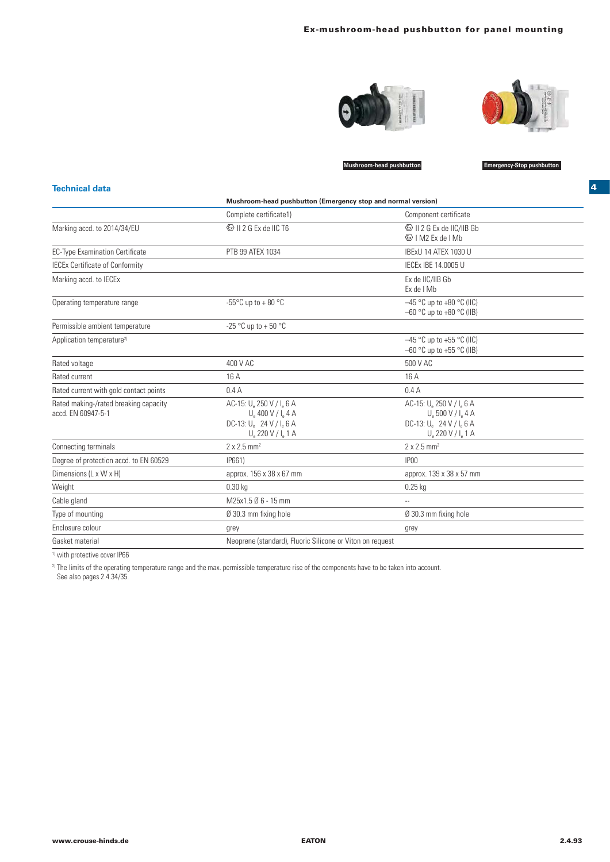



**Mushroom-head pushbutton Emergency-Stop pushbutton**

## **Technical data**

|                                                             | Mushroom-head pushbutton (Emergency stop and normal version)                                                           |                                                                                                                            |  |
|-------------------------------------------------------------|------------------------------------------------------------------------------------------------------------------------|----------------------------------------------------------------------------------------------------------------------------|--|
|                                                             | Complete certificate1)                                                                                                 | Component certificate                                                                                                      |  |
| Marking accd. to 2014/34/EU                                 | <b>&amp; II 2 G Ex de IIC T6</b>                                                                                       | <sup>(€</sup> * I M2 Fx de I Mh                                                                                            |  |
| <b>EC-Type Examination Certificate</b>                      | PTB 99 ATEX 1034                                                                                                       | IBExU 14 ATEX 1030 U                                                                                                       |  |
| <b>IECEx Certificate of Conformity</b>                      |                                                                                                                        | IECEX IBE 14.0005 U                                                                                                        |  |
| Marking accd. to IECEx                                      |                                                                                                                        | Ex de IIC/IIB Gb<br>Ex de I Mb                                                                                             |  |
| Operating temperature range                                 | -55 $\mathrm{^{\circ}C}$ up to + 80 $\mathrm{^{\circ}C}$                                                               | $-45$ °C up to +80 °C (IIC)<br>$-60$ °C up to $+80$ °C (IIB)                                                               |  |
| Permissible ambient temperature                             | -25 °C up to + 50 °C                                                                                                   |                                                                                                                            |  |
| Application temperature <sup>2)</sup>                       |                                                                                                                        | $-45$ °C up to +55 °C (IIC)<br>$-60$ °C up to +55 °C (IIB)                                                                 |  |
| Rated voltage                                               | 400 V AC                                                                                                               | 500 V AC                                                                                                                   |  |
| Rated current                                               | 16 A                                                                                                                   | 16 A                                                                                                                       |  |
| Rated current with gold contact points                      | 0.4A                                                                                                                   | 0.4A                                                                                                                       |  |
| Rated making-/rated breaking capacity<br>accd. EN 60947-5-1 | AC-15: U. 250 V / I. 6 A<br>$U_a$ 400 V / I <sub>a</sub> 4 A<br>DC-13: $U_e$ 24 V / $I_e$ 6 A<br>$U_a 220 V / I_a 1 A$ | AC-15: U. 250 V / I. 6 A<br>$U_{\circ}$ 500 V / I $_{\circ}$ 4 A<br>DC-13: $U_e$ 24 V / $I_e$ 6 A<br>$U_a 220 V / I_a 1 A$ |  |
| Connecting terminals                                        | $2 \times 2.5$ mm <sup>2</sup>                                                                                         | $2 \times 2.5$ mm <sup>2</sup>                                                                                             |  |
| Degree of protection accd. to EN 60529                      | IP661)                                                                                                                 | IP00                                                                                                                       |  |
| Dimensions (L x W x H)                                      | approx. 156 x 38 x 67 mm                                                                                               | approx. 139 x 38 x 57 mm                                                                                                   |  |
| Weight                                                      | $0.30$ kg                                                                                                              | $0.25$ kg                                                                                                                  |  |
| Cable gland                                                 | M25x1.5 Ø 6 - 15 mm                                                                                                    | --                                                                                                                         |  |
| Type of mounting                                            | Ø 30.3 mm fixing hole                                                                                                  | Ø 30.3 mm fixing hole                                                                                                      |  |
| Enclosure colour                                            | grey                                                                                                                   | grey                                                                                                                       |  |
| Gasket material                                             | Neoprene (standard), Fluoric Silicone or Viton on request                                                              |                                                                                                                            |  |

<sup>1)</sup> with protective cover IP66

 $^{2}$  The limits of the operating temperature range and the max. permissible temperature rise of the components have to be taken into account.

See also pages 2.4.34/35.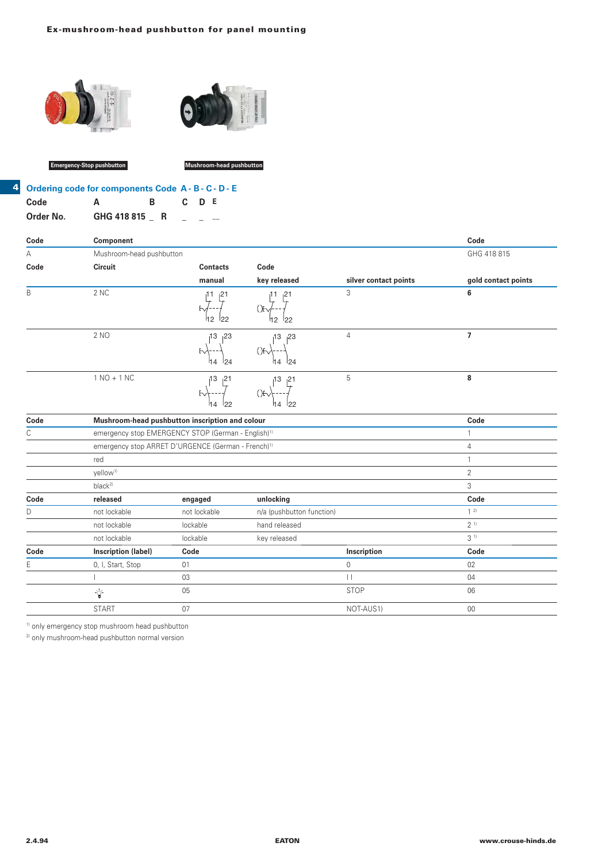



**Emergency-Stop pushbutton Mushroom-head pushbutton**

**4**

| <b>Ordering code for components Code A - B - C - D - E</b> |               |    |       |  |
|------------------------------------------------------------|---------------|----|-------|--|
| Code                                                       | A             | R. | C D E |  |
| Order No.                                                  | GHG 418 815 R |    |       |  |

| Code   | Component                                                      |                        |                                                          |                       | Code                |
|--------|----------------------------------------------------------------|------------------------|----------------------------------------------------------|-----------------------|---------------------|
| А      | Mushroom-head pushbutton                                       |                        |                                                          |                       | GHG 418 815         |
| Code   | Circuit                                                        | <b>Contacts</b>        | Code                                                     |                       |                     |
|        |                                                                | manual                 | key released                                             | silver contact points | gold contact points |
| B      | 2 NC                                                           | bv.<br>h2<br>122       | 21<br>H<br><sup>12</sup><br>22                           | 3                     | 6                   |
|        | 2 NO                                                           | 13<br>23<br>124<br>14  | 13<br>23<br>(`) <del>F</del> ∨<br>124<br><sup>1</sup> 14 | 4                     | 7                   |
|        | $1 NO + 1 NC$                                                  | 13<br>121<br>122<br>14 | 13<br>121<br>`)⊦<br>122<br>14                            | 5                     | 8                   |
| Code   | Mushroom-head pushbutton inscription and colour                |                        |                                                          |                       | Code                |
| $\cap$ | emergency stop EMERGENCY STOP (German - English) <sup>1)</sup> |                        |                                                          |                       |                     |

| U    | emergency stop EMERGENCY STOP (German - English) <sup>1)</sup> |              |                           |             |                |
|------|----------------------------------------------------------------|--------------|---------------------------|-------------|----------------|
|      | emergency stop ARRET D'URGENCE (German - French) <sup>1)</sup> |              |                           | 4           |                |
|      | red                                                            |              |                           |             |                |
|      | yellow <sup>1)</sup>                                           |              |                           |             | $\overline{2}$ |
|      | $black^{2}$                                                    |              |                           |             | 3              |
| Code | released                                                       | engaged      | unlocking                 |             | Code           |
| D    | not lockable                                                   | not lockable | n/a (pushbutton function) |             | 12             |
|      | not lockable                                                   | lockable     | hand released             |             | 2 <sup>1</sup> |
|      | not lockable                                                   | lockable     | key released              |             | 3 <sup>1</sup> |
| Code | Inscription (label)                                            | Code         |                           | Inscription | Code           |
| Ε    | 0, I, Start, Stop                                              | 01           |                           | 0           | 02             |
|      |                                                                | 03           |                           | П           | 04             |
|      | È                                                              | 05           |                           | <b>STOP</b> | 06             |
|      | <b>START</b>                                                   | 07           |                           | NOT-AUS1)   | 00             |

1) only emergency stop mushroom head pushbutton

2) only mushroom-head pushbutton normal version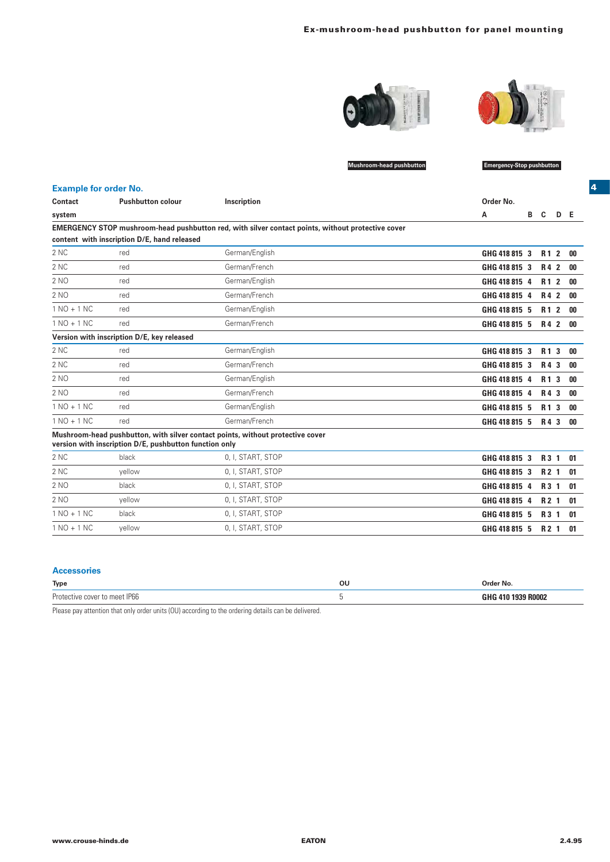



**4**

**Mushroom-head pushbutton Emergency-Stop pushbutton**

| <b>Example for order No.</b> |                                                        |                                                                                                   |               |                  |     |      |
|------------------------------|--------------------------------------------------------|---------------------------------------------------------------------------------------------------|---------------|------------------|-----|------|
| Contact                      | <b>Pushbutton colour</b>                               | Inscription                                                                                       | Order No.     |                  |     |      |
| system                       |                                                        |                                                                                                   | В<br>А        | C.               | D E |      |
|                              |                                                        | EMERGENCY STOP mushroom-head pushbutton red, with silver contact points, without protective cover |               |                  |     |      |
|                              | content with inscription D/E, hand released            |                                                                                                   |               |                  |     |      |
| 2 NC                         | red                                                    | German/English                                                                                    | GHG 418 815 3 | R <sub>1</sub> 2 |     | - 00 |
| 2 NC                         | red                                                    | German/French                                                                                     | GHG 418 815 3 | R4 2             |     | - 00 |
| 2 NO                         | red                                                    | German/English                                                                                    | GHG 418 815 4 | R <sub>1</sub> 2 |     | 00   |
| 2 NO                         | red                                                    | German/French                                                                                     | GHG 418 815 4 | R4 2             |     | 00   |
| $1 NQ + 1 NC$                | red                                                    | German/English                                                                                    | GHG 418 815 5 | R <sub>1</sub> 2 |     | 00   |
| $1 NQ + 1 NC$                | red                                                    | German/French                                                                                     | GHG 418 815 5 | R4 2             |     | - 00 |
|                              | Version with inscription D/E, key released             |                                                                                                   |               |                  |     |      |
| 2 NC                         | red                                                    | German/English                                                                                    | GHG 418 815 3 | R <sub>1</sub> 3 |     | 00   |
| 2 NC                         | red                                                    | German/French                                                                                     | GHG 418 815 3 | R4 3             |     | -00  |
| 2 <sub>NO</sub>              | red                                                    | German/English                                                                                    | GHG 418 815 4 | R <sub>1</sub> 3 |     | 00   |
| 2 NO                         | red                                                    | German/French                                                                                     | GHG 418 815 4 | R4 3             |     | 00   |
| $1 NQ + 1 NC$                | red                                                    | German/English                                                                                    | GHG 418 815 5 | R <sub>1</sub> 3 |     | -00  |
| $1 NQ + 1 NC$                | red                                                    | German/French                                                                                     | GHG 418 815 5 | R4 3             |     | - 00 |
|                              | version with inscription D/E, pushbutton function only | Mushroom-head pushbutton, with silver contact points, without protective cover                    |               |                  |     |      |
| 2 NC                         | black                                                  | 0, I, START, STOP                                                                                 | GHG 418 815 3 | R <sub>3</sub> 1 |     | -01  |
| 2 NC                         | yellow                                                 | 0, I, START, STOP                                                                                 | GHG 418 815 3 | R <sub>2</sub> 1 |     | 01   |
| 2 NO                         | black                                                  | 0, I, START, STOP                                                                                 | GHG 418 815 4 | R <sub>3</sub> 1 |     | 01   |
| 2 NO                         | vellow                                                 | 0, I, START, STOP                                                                                 | GHG 418 815 4 | R <sub>2</sub> 1 |     | 01   |
| $1 NO + 1 NC$                | black                                                  | 0, I, START, STOP                                                                                 | GHG 418 815 5 | R <sub>3</sub> 1 |     | 01   |
| $1 NO + 1 NC$                | vellow                                                 | 0, I, START, STOP                                                                                 | GHG 418 815 5 | R <sub>2</sub> 1 |     | 01   |

## **Accessories**

| <b>Type</b>   | οu | '')rder No.      |
|---------------|----|------------------|
| Urr.<br>ir nt |    | <b>ROOO</b><br>. |

Please pay attention that only order units (OU) according to the ordering details can be delivered.